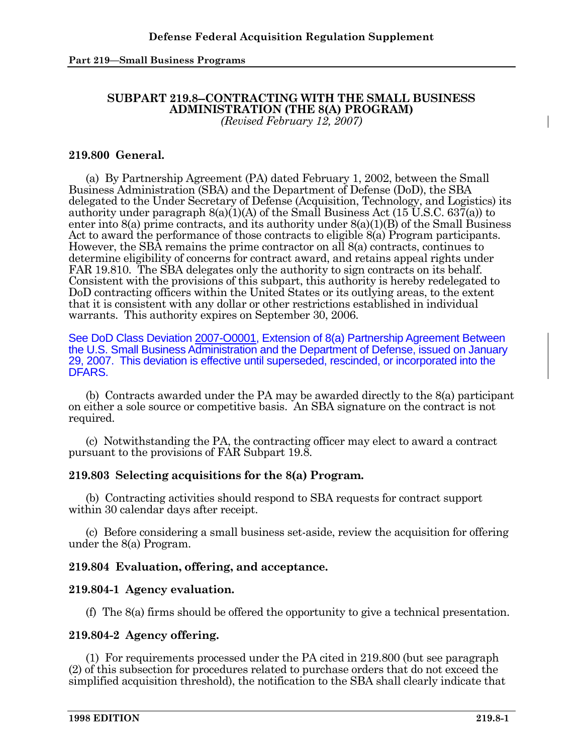# **SUBPART 219.8--CONTRACTING WITH THE SMALL BUSINESS ADMINISTRATION (THE 8(A) PROGRAM)**

*(Revised February 12, 2007)* 

## **219.800 General.**

 (a) By Partnership Agreement (PA) dated February 1, 2002, between the Small Business Administration (SBA) and the Department of Defense (DoD), the SBA delegated to the Under Secretary of Defense (Acquisition, Technology, and Logistics) its authority under paragraph  $8(a)(1)(A)$  of the Small Business Act  $(15\,\mathrm{U.S.C.}\,637(a))$  to enter into  $8(a)$  prime contracts, and its authority under  $8(a)(1)(B)$  of the Small Business Act to award the performance of those contracts to eligible 8(a) Program participants. However, the SBA remains the prime contractor on all 8(a) contracts, continues to determine eligibility of concerns for contract award, and retains appeal rights under FAR 19.810. The SBA delegates only the authority to sign contracts on its behalf. Consistent with the provisions of this subpart, this authority is hereby redelegated to DoD contracting officers within the United States or its outlying areas, to the extent that it is consistent with any dollar or other restrictions established in individual warrants. This authority expires on September 30, 2006.

See DoD Class Deviation 2007-O0001, Extension of 8(a) Partnership Agreement Between the U.S. Small Business Administration and the Department of Defense, issued on January 29, 2007. This deviation is effective until superseded, rescinded, or incorporated into the DFARS.

 (b) Contracts awarded under the PA may be awarded directly to the 8(a) participant on either a sole source or competitive basis. An SBA signature on the contract is not required.

 (c) Notwithstanding the PA, the contracting officer may elect to award a contract pursuant to the provisions of FAR Subpart 19.8.

## **219.803 Selecting acquisitions for the 8(a) Program.**

 (b) Contracting activities should respond to SBA requests for contract support within 30 calendar days after receipt.

 (c) Before considering a small business set-aside, review the acquisition for offering under the 8(a) Program.

## **219.804 Evaluation, offering, and acceptance.**

## **219.804-1 Agency evaluation.**

(f) The 8(a) firms should be offered the opportunity to give a technical presentation.

## **219.804-2 Agency offering.**

 (1) For requirements processed under the PA cited in 219.800 (but see paragraph (2) of this subsection for procedures related to purchase orders that do not exceed the simplified acquisition threshold), the notification to the SBA shall clearly indicate that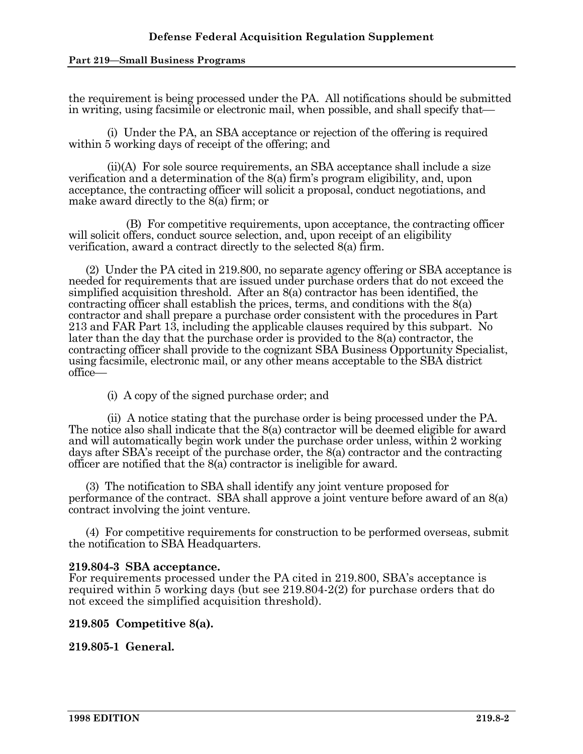the requirement is being processed under the PA. All notifications should be submitted in writing, using facsimile or electronic mail, when possible, and shall specify that—

 (i) Under the PA, an SBA acceptance or rejection of the offering is required within 5 working days of receipt of the offering; and

 (ii)(A) For sole source requirements, an SBA acceptance shall include a size verification and a determination of the 8(a) firm's program eligibility, and, upon acceptance, the contracting officer will solicit a proposal, conduct negotiations, and make award directly to the 8(a) firm; or

 (B) For competitive requirements, upon acceptance, the contracting officer will solicit offers, conduct source selection, and, upon receipt of an eligibility verification, award a contract directly to the selected 8(a) firm.

 (2) Under the PA cited in 219.800, no separate agency offering or SBA acceptance is needed for requirements that are issued under purchase orders that do not exceed the simplified acquisition threshold. After an 8(a) contractor has been identified, the contracting officer shall establish the prices, terms, and conditions with the 8(a) contractor and shall prepare a purchase order consistent with the procedures in Part 213 and FAR Part 13, including the applicable clauses required by this subpart. No later than the day that the purchase order is provided to the 8(a) contractor, the contracting officer shall provide to the cognizant SBA Business Opportunity Specialist, using facsimile, electronic mail, or any other means acceptable to the SBA district office—

(i) A copy of the signed purchase order; and

 (ii) A notice stating that the purchase order is being processed under the PA. The notice also shall indicate that the 8(a) contractor will be deemed eligible for award and will automatically begin work under the purchase order unless, within 2 working days after SBA's receipt of the purchase order, the 8(a) contractor and the contracting officer are notified that the 8(a) contractor is ineligible for award.

 (3) The notification to SBA shall identify any joint venture proposed for performance of the contract. SBA shall approve a joint venture before award of an 8(a) contract involving the joint venture.

 (4) For competitive requirements for construction to be performed overseas, submit the notification to SBA Headquarters.

#### **219.804-3 SBA acceptance.**

For requirements processed under the PA cited in 219.800, SBA's acceptance is required within 5 working days (but see 219.804-2(2) for purchase orders that do not exceed the simplified acquisition threshold).

## **219.805 Competitive 8(a).**

**219.805-1 General.**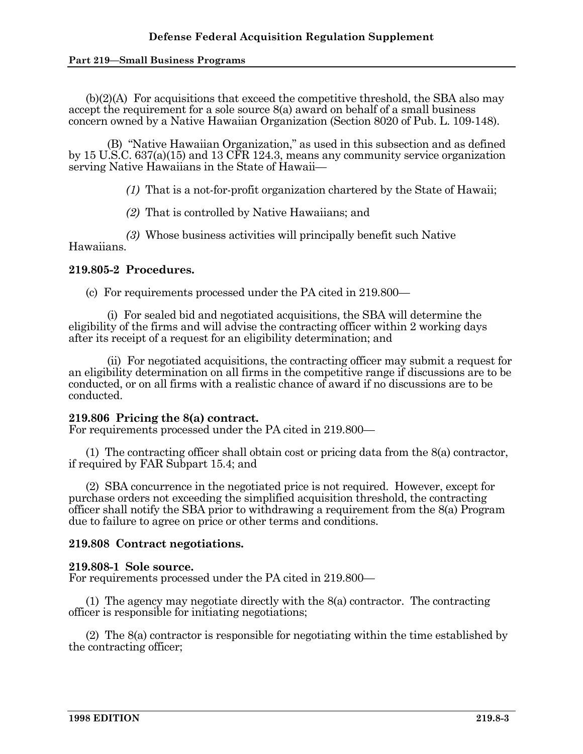$(b)(2)(A)$  For acquisitions that exceed the competitive threshold, the SBA also may accept the requirement for a sole source 8(a) award on behalf of a small business concern owned by a Native Hawaiian Organization (Section 8020 of Pub. L. 109-148).

 (B) "Native Hawaiian Organization," as used in this subsection and as defined by 15 U.S.C. 637(a)(15) and 13 CFR 124.3, means any community service organization serving Native Hawaiians in the State of Hawaii—

*(1)* That is a not-for-profit organization chartered by the State of Hawaii;

*(2)* That is controlled by Native Hawaiians; and

 *(3)* Whose business activities will principally benefit such Native Hawaiians.

## **219.805-2 Procedures.**

(c) For requirements processed under the PA cited in 219.800—

 (i) For sealed bid and negotiated acquisitions, the SBA will determine the eligibility of the firms and will advise the contracting officer within 2 working days after its receipt of a request for an eligibility determination; and

 (ii) For negotiated acquisitions, the contracting officer may submit a request for an eligibility determination on all firms in the competitive range if discussions are to be conducted, or on all firms with a realistic chance of award if no discussions are to be conducted.

## **219.806 Pricing the 8(a) contract.**

For requirements processed under the PA cited in 219.800—

 (1) The contracting officer shall obtain cost or pricing data from the 8(a) contractor, if required by FAR Subpart 15.4; and

 (2) SBA concurrence in the negotiated price is not required. However, except for purchase orders not exceeding the simplified acquisition threshold, the contracting officer shall notify the SBA prior to withdrawing a requirement from the 8(a) Program due to failure to agree on price or other terms and conditions.

## **219.808 Contract negotiations.**

#### **219.808-1 Sole source.**

For requirements processed under the PA cited in 219.800—

 (1) The agency may negotiate directly with the 8(a) contractor. The contracting officer is responsible for initiating negotiations;

 (2) The 8(a) contractor is responsible for negotiating within the time established by the contracting officer;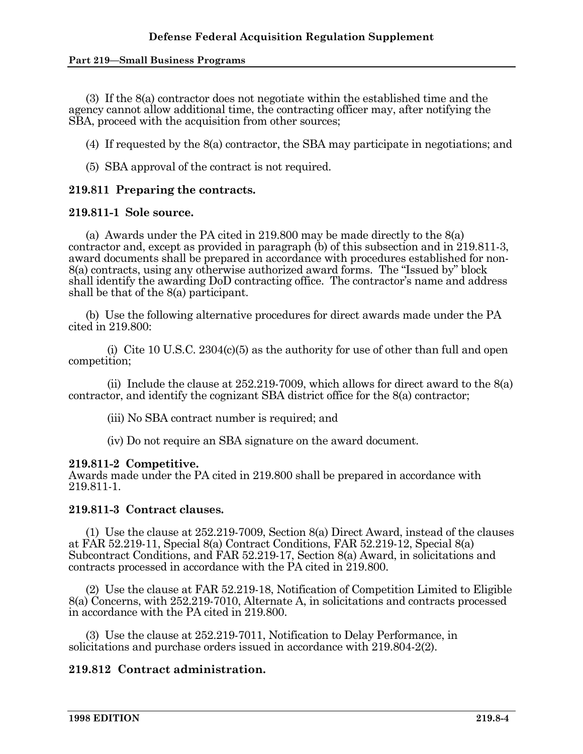(3) If the 8(a) contractor does not negotiate within the established time and the agency cannot allow additional time, the contracting officer may, after notifying the SBA, proceed with the acquisition from other sources;

(4) If requested by the 8(a) contractor, the SBA may participate in negotiations; and

(5) SBA approval of the contract is not required.

## **219.811 Preparing the contracts.**

#### **219.811-1 Sole source.**

 (a) Awards under the PA cited in 219.800 may be made directly to the 8(a) contractor and, except as provided in paragraph (b) of this subsection and in 219.811-3, award documents shall be prepared in accordance with procedures established for non-8(a) contracts, using any otherwise authorized award forms. The "Issued by" block shall identify the awarding DoD contracting office. The contractor's name and address shall be that of the 8(a) participant.

 (b) Use the following alternative procedures for direct awards made under the PA cited in 219.800:

(i) Cite 10 U.S.C. 2304(c)(5) as the authority for use of other than full and open competition;

(ii) Include the clause at  $252.219-7009$ , which allows for direct award to the  $8(a)$ contractor, and identify the cognizant SBA district office for the 8(a) contractor;

(iii) No SBA contract number is required; and

(iv) Do not require an SBA signature on the award document.

#### **219.811-2 Competitive.**

Awards made under the PA cited in 219.800 shall be prepared in accordance with 219.811-1.

## **219.811-3 Contract clauses.**

 (1) Use the clause at 252.219-7009, Section 8(a) Direct Award, instead of the clauses at FAR 52.219-11, Special 8(a) Contract Conditions, FAR 52.219-12, Special 8(a) Subcontract Conditions, and FAR 52.219-17, Section 8(a) Award, in solicitations and contracts processed in accordance with the PA cited in 219.800.

 (2) Use the clause at FAR 52.219-18, Notification of Competition Limited to Eligible 8(a) Concerns, with 252.219-7010, Alternate A, in solicitations and contracts processed in accordance with the PA cited in 219.800.

 (3) Use the clause at 252.219-7011, Notification to Delay Performance, in solicitations and purchase orders issued in accordance with 219.804-2(2).

## **219.812 Contract administration.**